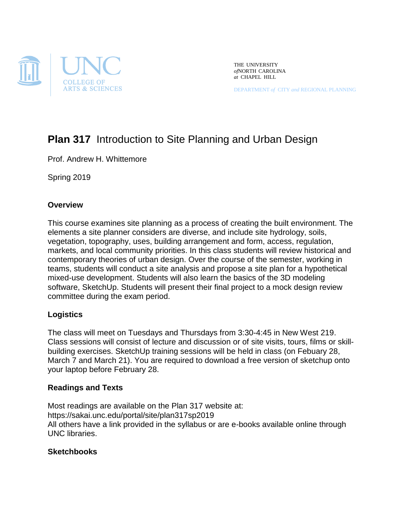

THE UNIVERSITY *of*NORTH CAROLINA *at* CHAPEL HILL

DEPARTMENT *of* CITY *and* REGIONAL PLANNING

# **Plan 317** Introduction to Site Planning and Urban Design

Prof. Andrew H. Whittemore

Spring 2019

# **Overview**

This course examines site planning as a process of creating the built environment. The elements a site planner considers are diverse, and include site hydrology, soils, vegetation, topography, uses, building arrangement and form, access, regulation, markets, and local community priorities. In this class students will review historical and contemporary theories of urban design. Over the course of the semester, working in teams, students will conduct a site analysis and propose a site plan for a hypothetical mixed-use development. Students will also learn the basics of the 3D modeling software, SketchUp. Students will present their final project to a mock design review committee during the exam period.

# **Logistics**

The class will meet on Tuesdays and Thursdays from 3:30-4:45 in New West 219. Class sessions will consist of lecture and discussion or of site visits, tours, films or skillbuilding exercises. SketchUp training sessions will be held in class (on Febuary 28, March 7 and March 21). You are required to download a free version of sketchup onto your laptop before February 28.

# **Readings and Texts**

Most readings are available on the Plan 317 website at: https://sakai.unc.edu/portal/site/plan317sp2019 All others have a link provided in the syllabus or are e-books available online through UNC libraries.

# **Sketchbooks**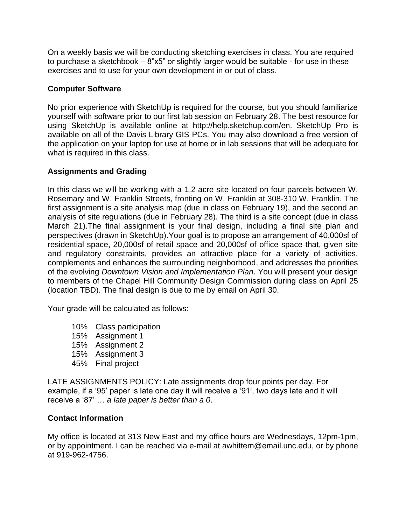On a weekly basis we will be conducting sketching exercises in class. You are required to purchase a sketchbook – 8"x5" or slightly larger would be suitable - for use in these exercises and to use for your own development in or out of class.

# **Computer Software**

No prior experience with SketchUp is required for the course, but you should familiarize yourself with software prior to our first lab session on February 28. The best resource for using SketchUp is available online at [http://help.sketchup.com/en. SketchUp](http://help.sketchup.com/en.%20SketchUp) Pro is available on all of the Davis Library GIS PCs. You may also download a free version of the application on your laptop for use at home or in lab sessions that will be adequate for what is required in this class.

# **Assignments and Grading**

In this class we will be working with a 1.2 acre site located on four parcels between W. Rosemary and W. Franklin Streets, fronting on W. Franklin at 308-310 W. Franklin. The first assignment is a site analysis map (due in class on February 19), and the second an analysis of site regulations (due in February 28). The third is a site concept (due in class March 21).The final assignment is your final design, including a final site plan and perspectives (drawn in SketchUp).Your goal is to propose an arrangement of 40,000sf of residential space, 20,000sf of retail space and 20,000sf of office space that, given site and regulatory constraints, provides an attractive place for a variety of activities, complements and enhances the surrounding neighborhood, and addresses the priorities of the evolving *Downtown Vision and Implementation Plan*. You will present your design to members of the Chapel Hill Community Design Commission during class on April 25 (location TBD). The final design is due to me by email on April 30.

Your grade will be calculated as follows:

- 10% Class participation
- 15% Assignment 1
- 15% Assignment 2
- 15% Assignment 3
- 45% Final project

LATE ASSIGNMENTS POLICY: Late assignments drop four points per day. For example, if a '95' paper is late one day it will receive a '91', two days late and it will receive a '87' … *a late paper is better than a 0*.

# **Contact Information**

My office is located at 313 New East and my office hours are Wednesdays, 12pm-1pm, or by appointment. I can be reached via e-mail at awhittem@email.unc.edu, or by phone at 919-962-4756.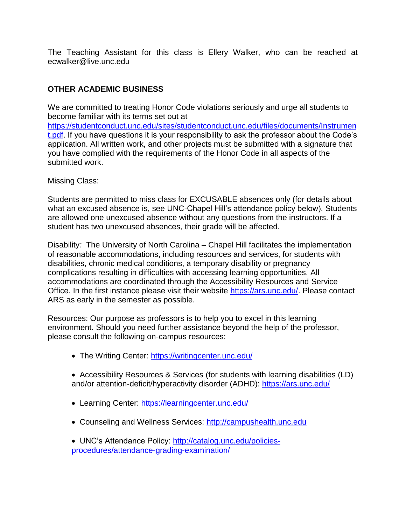The Teaching Assistant for this class is Ellery Walker, who can be reached at ecwalker@live.unc.edu

# **OTHER ACADEMIC BUSINESS**

We are committed to treating Honor Code violations seriously and urge all students to become familiar with its terms set out at https://studentconduct.unc.edu/sites/studentconduct.unc.edu/files/documents/Instrumen t.pdf. If you have questions it is your responsibility to ask the professor about the Code's application. All written work, and other projects must be submitted with a signature that you have complied with the requirements of the Honor Code in all aspects of the submitted work.

Missing Class:

Students are permitted to miss class for EXCUSABLE absences only (for details about what an excused absence is, see UNC-Chapel Hill's attendance policy below). Students are allowed one unexcused absence without any questions from the instructors. If a student has two unexcused absences, their grade will be affected.

Disability*:* The University of North Carolina – Chapel Hill facilitates the implementation of reasonable accommodations, including resources and services, for students with disabilities, chronic medical conditions, a temporary disability or pregnancy complications resulting in difficulties with accessing learning opportunities. All accommodations are coordinated through the Accessibility Resources and Service Office. In the first instance please visit their website https://ars.unc.edu/. Please contact ARS as early in the semester as possible.

Resources: Our purpose as professors is to help you to excel in this learning environment. Should you need further assistance beyond the help of the professor, please consult the following on-campus resources:

- The Writing Center: https://writingcenter.unc.edu/
- Accessibility Resources & Services (for students with learning disabilities (LD) and/or attention-deficit/hyperactivity disorder (ADHD): https://ars.unc.edu/
- Learning Center: https://learningcenter.unc.edu/
- Counseling and Wellness Services: [http://campushealth.unc.edu](https://outlook.unc.edu/owa/redir.aspx?C=TX9P-iEKuUOJ13QgJZni44yxaiBLvNEI7xytaJmv-to-UbSem5tbnY2HQL2SGLERRpN73Xe03_U.&URL=http%3a%2f%2fcampushealth.unc.edu)
- UNC's Attendance Policy: http://catalog.unc.edu/policiesprocedures/attendance-grading-examination/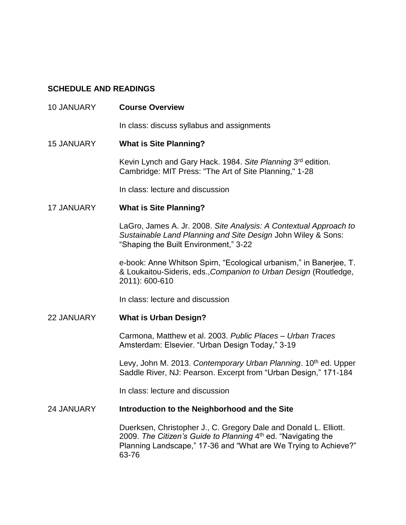# **SCHEDULE AND READINGS**

| <b>10 JANUARY</b> | <b>Course Overview</b>                                                                                                                                                                                        |
|-------------------|---------------------------------------------------------------------------------------------------------------------------------------------------------------------------------------------------------------|
|                   | In class: discuss syllabus and assignments                                                                                                                                                                    |
| <b>15 JANUARY</b> | <b>What is Site Planning?</b>                                                                                                                                                                                 |
|                   | Kevin Lynch and Gary Hack. 1984. Site Planning 3rd edition.<br>Cambridge: MIT Press: "The Art of Site Planning," 1-28                                                                                         |
|                   | In class: lecture and discussion                                                                                                                                                                              |
| <b>17 JANUARY</b> | <b>What is Site Planning?</b>                                                                                                                                                                                 |
|                   | LaGro, James A. Jr. 2008. Site Analysis: A Contextual Approach to<br>Sustainable Land Planning and Site Design John Wiley & Sons:<br>"Shaping the Built Environment," 3-22                                    |
|                   | e-book: Anne Whitson Spirn, "Ecological urbanism," in Banerjee, T.<br>& Loukaitou-Sideris, eds., Companion to Urban Design (Routledge,<br>2011): 600-610                                                      |
|                   | In class: lecture and discussion                                                                                                                                                                              |
| 22 JANUARY        | <b>What is Urban Design?</b>                                                                                                                                                                                  |
|                   | Carmona, Matthew et al. 2003. Public Places - Urban Traces<br>Amsterdam: Elsevier. "Urban Design Today," 3-19                                                                                                 |
|                   | Levy, John M. 2013. Contemporary Urban Planning. 10 <sup>th</sup> ed. Upper<br>Saddle River, NJ: Pearson. Excerpt from "Urban Design," 171-184                                                                |
|                   | In class: lecture and discussion                                                                                                                                                                              |
| <b>24 JANUARY</b> | Introduction to the Neighborhood and the Site                                                                                                                                                                 |
|                   | Duerksen, Christopher J., C. Gregory Dale and Donald L. Elliott.<br>2009. The Citizen's Guide to Planning 4th ed. "Navigating the<br>Planning Landscape," 17-36 and "What are We Trying to Achieve?"<br>63-76 |
|                   |                                                                                                                                                                                                               |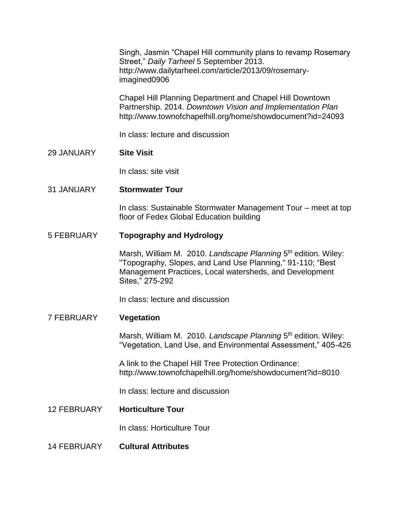Singh, Jasmin "Chapel Hill community plans to revamp Rosemary Street," *Daily Tarheel* 5 September 2013. http://www.dailytarheel.com/article/2013/09/rosemaryimagined0906

Chapel Hill Planning Department and Chapel Hill Downtown Partnership. 2014. *Downtown Vision and Implementation Plan* http://www.townofchapelhill.org/home/showdocument?id=24093

In class: lecture and discussion

# 29 JANUARY **Site Visit**

In class: site visit

## 31 JANUARY **Stormwater Tour**

In class: Sustainable Stormwater Management Tour – meet at top floor of Fedex Global Education building

## 5 FEBRUARY **Topography and Hydrology**

Marsh, William M. 2010. Landscape Planning 5<sup>th</sup> edition. Wiley: "Topography, Slopes, and Land Use Planning," 91-110; "Best Management Practices, Local watersheds, and Development Sites," 275-292

In class: lecture and discussion

#### 7 FEBRUARY **Vegetation**

Marsh, William M. 2010. Landscape Planning 5<sup>th</sup> edition. Wiley: "Vegetation, Land Use, and Environmental Assessment," 405-426

A link to the Chapel Hill Tree Protection Ordinance: http://www.townofchapelhill.org/home/showdocument?id=8010

In class: lecture and discussion

12 FEBRUARY **Horticulture Tour**

In class: Horticulture Tour

14 FEBRUARY **Cultural Attributes**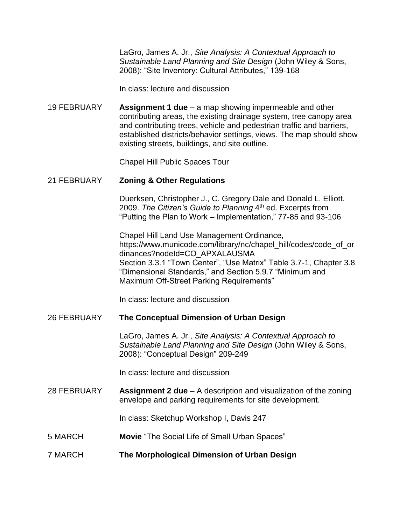LaGro, James A. Jr., *Site Analysis: A Contextual Approach to Sustainable Land Planning and Site Design* (John Wiley & Sons, 2008): "Site Inventory: Cultural Attributes," 139-168

In class: lecture and discussion

19 FEBRUARY **Assignment 1 due** – a map showing impermeable and other contributing areas, the existing drainage system, tree canopy area and contributing trees, vehicle and pedestrian traffic and barriers, established districts/behavior settings, views. The map should show existing streets, buildings, and site outline.

Chapel Hill Public Spaces Tour

# 21 FEBRUARY **Zoning & Other Regulations**

Duerksen, Christopher J., C. Gregory Dale and Donald L. Elliott. 2009. *The Citizen's Guide to Planning* 4 th ed. Excerpts from "Putting the Plan to Work – Implementation," 77-85 and 93-106

Chapel Hill Land Use Management Ordinance, [https://www.municode.com/library/nc/chapel\\_hill/codes/code\\_of\\_or](https://www.municode.com/library/nc/chapel_hill/codes/code_of_ordinances?nodeId=CO_APXALAUSMA) [dinances?nodeId=CO\\_APXALAUSMA](https://www.municode.com/library/nc/chapel_hill/codes/code_of_ordinances?nodeId=CO_APXALAUSMA) Section 3.3.1 "Town Center", "Use Matrix" Table 3.7-1, Chapter 3.8 "Dimensional Standards," and Section 5.9.7 "Minimum and Maximum Off-Street Parking Requirements"

In class: lecture and discussion

#### 26 FEBRUARY **The Conceptual Dimension of Urban Design**

LaGro, James A. Jr., *Site Analysis: A Contextual Approach to Sustainable Land Planning and Site Design* (John Wiley & Sons, 2008): "Conceptual Design" 209-249

In class: lecture and discussion

28 FEBRUARY **Assignment 2 due** – A description and visualization of the zoning envelope and parking requirements for site development.

In class: Sketchup Workshop I, Davis 247

- 5 MARCH **Movie** "The Social Life of Small Urban Spaces"
- 7 MARCH **The Morphological Dimension of Urban Design**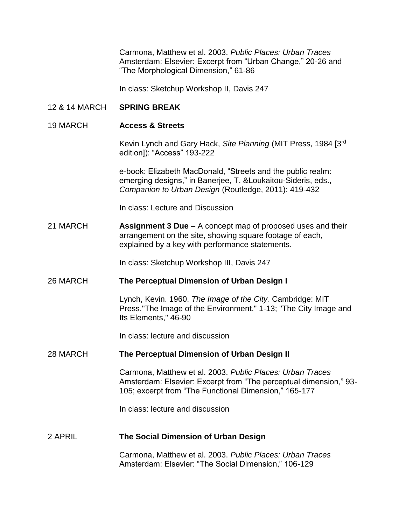Carmona, Matthew et al. 2003. *Public Places: Urban Traces*  Amsterdam: Elsevier: Excerpt from "Urban Change," 20-26 and "The Morphological Dimension," 61-86

In class: Sketchup Workshop II, Davis 247

#### 12 & 14 MARCH **SPRING BREAK**

#### 19 MARCH **Access & Streets**

Kevin Lynch and Gary Hack, *Site Planning* (MIT Press, 1984 [3rd edition]): "Access" 193-222

e-book: Elizabeth MacDonald, "Streets and the public realm: emerging designs," in Banerjee, T. &Loukaitou-Sideris, eds., *Companion to Urban Design* (Routledge, 2011): 419-432

In class: Lecture and Discussion

21 MARCH **Assignment 3 Due** – A concept map of proposed uses and their arrangement on the site, showing square footage of each, explained by a key with performance statements.

In class: Sketchup Workshop III, Davis 247

#### 26 MARCH **The Perceptual Dimension of Urban Design I**

Lynch, Kevin. 1960. *The Image of the City.* Cambridge: MIT Press."The Image of the Environment," 1-13; "The City Image and Its Elements," 46-90

In class: lecture and discussion

#### 28 MARCH **The Perceptual Dimension of Urban Design II**

Carmona, Matthew et al. 2003. *Public Places: Urban Traces*  Amsterdam: Elsevier: Excerpt from "The perceptual dimension," 93- 105; excerpt from "The Functional Dimension," 165-177

In class: lecture and discussion

#### 2 APRIL **The Social Dimension of Urban Design**

Carmona, Matthew et al. 2003. *Public Places: Urban Traces*  Amsterdam: Elsevier: "The Social Dimension," 106-129